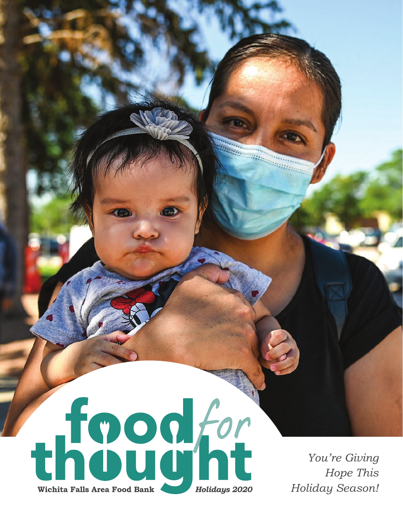

*You're Giving Hope This Holiday Season!*